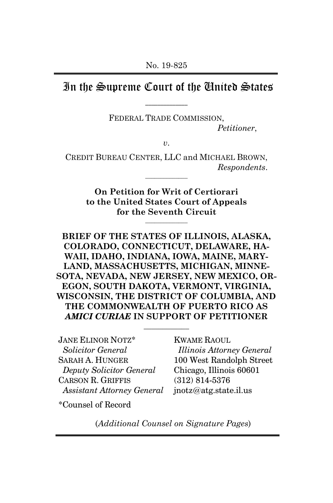# In the Supreme Court of the United States  $\mathcal{L}=\mathcal{L}^{\mathcal{L}}$

FEDERAL TRADE COMMISSION,

*Petitioner*,

*v*.

CREDIT BUREAU CENTER, LLC and MICHAEL BROWN, *Respondents*.  $\overline{\phantom{a}}$ 

> **On Petition for Writ of Certiorari to the United States Court of Appeals for the Seventh Circuit**

> > $\overline{\phantom{a}}$

**BRIEF OF THE STATES OF ILLINOIS, ALASKA, COLORADO, CONNECTICUT, DELAWARE, HA-WAII, IDAHO, INDIANA, IOWA, MAINE, MARY-LAND, MASSACHUSETTS, MICHIGAN, MINNE-SOTA, NEVADA, NEW JERSEY, NEW MEXICO, OR-EGON, SOUTH DAKOTA, VERMONT, VIRGINIA, WISCONSIN, THE DISTRICT OF COLUMBIA, AND THE COMMONWEALTH OF PUERTO RICO AS**  *AMICI CURIAE* **IN SUPPORT OF PETITIONER** 

\_\_\_\_\_\_\_\_\_\_\_\_

JANE ELINOR NOTZ\*  *Solicitor General*  SARAH A. HUNGER  *Deputy Solicitor General* CARSON R. GRIFFIS  *Assistant Attorney General* 

KWAME RAOUL *Illinois Attorney General*  100 West Randolph Street Chicago, Illinois 60601 (312) 814-5376 jnotz@atg.state.il.us

\*Counsel of Record

(*Additional Counsel on Signature Pages*)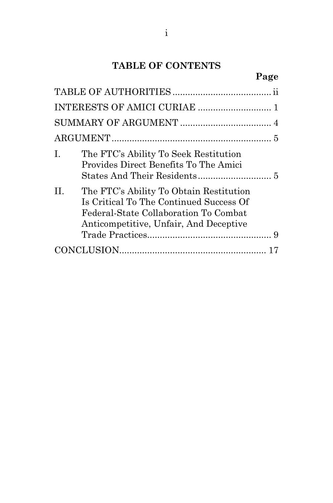# **TABLE OF CONTENTS**

|     |                                                                                                                                                                       | Page |
|-----|-----------------------------------------------------------------------------------------------------------------------------------------------------------------------|------|
|     |                                                                                                                                                                       |      |
|     |                                                                                                                                                                       |      |
|     |                                                                                                                                                                       |      |
|     |                                                                                                                                                                       |      |
| I.  | The FTC's Ability To Seek Restitution<br>Provides Direct Benefits To The Amici                                                                                        |      |
| II. | The FTC's Ability To Obtain Restitution<br>Is Critical To The Continued Success Of<br>Federal-State Collaboration To Combat<br>Anticompetitive, Unfair, And Deceptive |      |

Trade Practices................................................. 9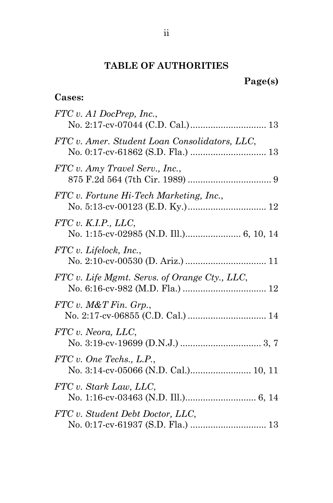# **TABLE OF AUTHORITIES**

# **Cases:**

| FTC v. A1 DocPrep, Inc.,                                         |
|------------------------------------------------------------------|
| FTC v. Amer. Student Loan Consolidators, LLC,                    |
| FTC v. Amy Travel Serv., Inc.,                                   |
| FTC v. Fortune Hi-Tech Marketing, Inc.,                          |
| FTC v. K.I.P., LLC,<br>No. 1:15-cv-02985 (N.D. Ill.) 6, 10, 14   |
| FTC v. Lifelock, Inc.,                                           |
| FTC v. Life Mgmt. Servs. of Orange Cty., LLC,                    |
| FTC v. M&T Fin. Grp.                                             |
| FTC v. Neora, LLC,                                               |
| FTC v. One Techs., L.P.,<br>No. 3:14-cv-05066 (N.D. Cal.) 10, 11 |
| FTC v. Stark Law, LLC,                                           |
| FTC v. Student Debt Doctor, LLC,                                 |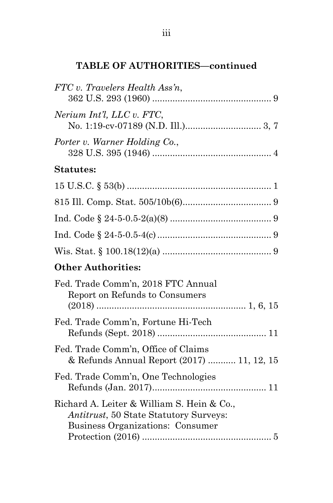# **TABLE OF AUTHORITIES—continued**

| FTC v. Travelers Health Ass'n,                                                                                                   |
|----------------------------------------------------------------------------------------------------------------------------------|
| Nerium Int'l, LLC v. FTC,                                                                                                        |
| Porter v. Warner Holding Co.,                                                                                                    |
| <b>Statutes:</b>                                                                                                                 |
|                                                                                                                                  |
|                                                                                                                                  |
|                                                                                                                                  |
|                                                                                                                                  |
|                                                                                                                                  |
| <b>Other Authorities:</b>                                                                                                        |
| Fed. Trade Comm'n, 2018 FTC Annual<br>Report on Refunds to Consumers                                                             |
| Fed. Trade Comm'n, Fortune Hi-Tech                                                                                               |
| Fed. Trade Comm'n, Office of Claims<br>& Refunds Annual Report (2017)  11, 12, 15                                                |
| Fed. Trade Comm'n, One Technologies                                                                                              |
| Richard A. Leiter & William S. Hein & Co.,<br><i>Antitrust</i> , 50 State Statutory Surveys:<br>Business Organizations: Consumer |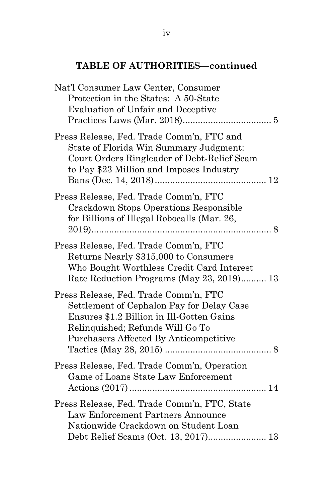# **TABLE OF AUTHORITIES—continued**

| Nat'l Consumer Law Center, Consumer<br>Protection in the States: A 50-State<br>Evaluation of Unfair and Deceptive                                                                                             |
|---------------------------------------------------------------------------------------------------------------------------------------------------------------------------------------------------------------|
| Press Release, Fed. Trade Comm'n, FTC and<br>State of Florida Win Summary Judgment:<br>Court Orders Ringleader of Debt-Relief Scam<br>to Pay \$23 Million and Imposes Industry                                |
| Press Release, Fed. Trade Comm'n, FTC<br>Crackdown Stops Operations Responsible<br>for Billions of Illegal Robocalls (Mar. 26,                                                                                |
| Press Release, Fed. Trade Comm'n, FTC<br>Returns Nearly \$315,000 to Consumers<br>Who Bought Worthless Credit Card Interest<br>Rate Reduction Programs (May 23, 2019) 13                                      |
| Press Release, Fed. Trade Comm'n, FTC<br>Settlement of Cephalon Pay for Delay Case<br>Ensures \$1.2 Billion in Ill-Gotten Gains<br>Relinquished; Refunds Will Go To<br>Purchasers Affected By Anticompetitive |
| Press Release, Fed. Trade Comm'n, Operation<br>Game of Loans State Law Enforcement                                                                                                                            |
| Press Release, Fed. Trade Comm'n, FTC, State<br>Law Enforcement Partners Announce<br>Nationwide Crackdown on Student Loan<br>Debt Relief Scams (Oct. 13, 2017) 13                                             |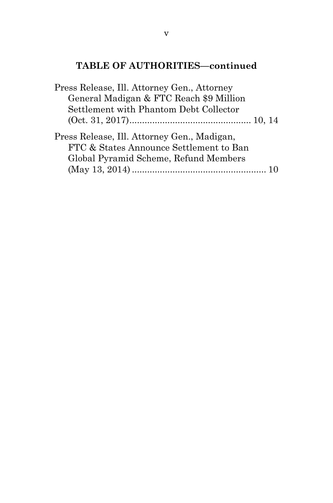# **TABLE OF AUTHORITIES—continued**

| Press Release, Ill. Attorney Gen., Attorney                                                                                     |  |
|---------------------------------------------------------------------------------------------------------------------------------|--|
| General Madigan & FTC Reach \$9 Million                                                                                         |  |
| Settlement with Phantom Debt Collector                                                                                          |  |
|                                                                                                                                 |  |
| Press Release, Ill. Attorney Gen., Madigan,<br>FTC & States Announce Settlement to Ban<br>Global Pyramid Scheme, Refund Members |  |
|                                                                                                                                 |  |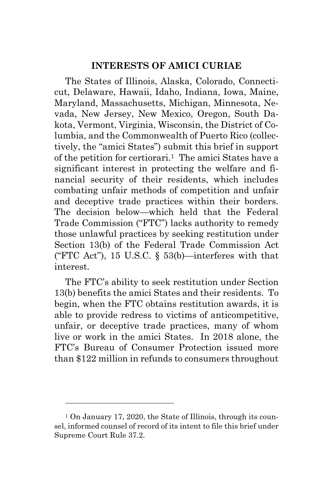### **INTERESTS OF AMICI CURIAE**

The States of Illinois, Alaska, Colorado, Connecticut, Delaware, Hawaii, Idaho, Indiana, Iowa, Maine, Maryland, Massachusetts, Michigan, Minnesota, Nevada, New Jersey, New Mexico, Oregon, South Dakota, Vermont, Virginia, Wisconsin, the District of Columbia, and the Commonwealth of Puerto Rico (collectively, the "amici States") submit this brief in support of the petition for certiorari.1 The amici States have a significant interest in protecting the welfare and financial security of their residents, which includes combating unfair methods of competition and unfair and deceptive trade practices within their borders. The decision below—which held that the Federal Trade Commission ("FTC") lacks authority to remedy those unlawful practices by seeking restitution under Section 13(b) of the Federal Trade Commission Act ("FTC Act"), 15 U.S.C.  $\frac{15}{10}$  53(b) —interferes with that interest.

The FTC's ability to seek restitution under Section 13(b) benefits the amici States and their residents. To begin, when the FTC obtains restitution awards, it is able to provide redress to victims of anticompetitive, unfair, or deceptive trade practices, many of whom live or work in the amici States. In 2018 alone, the FTC's Bureau of Consumer Protection issued more than \$122 million in refunds to consumers throughout

<sup>1</sup> On January 17, 2020, the State of Illinois, through its counsel, informed counsel of record of its intent to file this brief under Supreme Court Rule 37.2.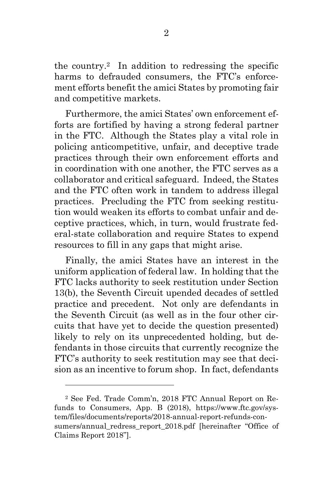the country.2 In addition to redressing the specific harms to defrauded consumers, the FTC's enforcement efforts benefit the amici States by promoting fair and competitive markets.

Furthermore, the amici States' own enforcement efforts are fortified by having a strong federal partner in the FTC. Although the States play a vital role in policing anticompetitive, unfair, and deceptive trade practices through their own enforcement efforts and in coordination with one another, the FTC serves as a collaborator and critical safeguard. Indeed, the States and the FTC often work in tandem to address illegal practices. Precluding the FTC from seeking restitution would weaken its efforts to combat unfair and deceptive practices, which, in turn, would frustrate federal-state collaboration and require States to expend resources to fill in any gaps that might arise.

Finally, the amici States have an interest in the uniform application of federal law. In holding that the FTC lacks authority to seek restitution under Section 13(b), the Seventh Circuit upended decades of settled practice and precedent. Not only are defendants in the Seventh Circuit (as well as in the four other circuits that have yet to decide the question presented) likely to rely on its unprecedented holding, but defendants in those circuits that currently recognize the FTC's authority to seek restitution may see that decision as an incentive to forum shop. In fact, defendants

<sup>2</sup> See Fed. Trade Comm'n, 2018 FTC Annual Report on Refunds to Consumers, App. B (2018), https://www.ftc.gov/system/files/documents/reports/2018-annual-report-refunds-consumers/annual redress report 2018.pdf [hereinafter "Office of Claims Report 2018"].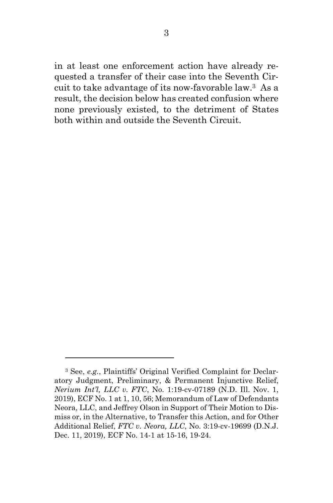in at least one enforcement action have already requested a transfer of their case into the Seventh Circuit to take advantage of its now-favorable law.3 As a result, the decision below has created confusion where none previously existed, to the detriment of States both within and outside the Seventh Circuit.

<sup>3</sup> See, *e.g.*, Plaintiffs' Original Verified Complaint for Declaratory Judgment, Preliminary, & Permanent Injunctive Relief, *Nerium Int'l, LLC v. FTC*, No. 1:19-cv-07189 (N.D. Ill. Nov. 1, 2019), ECF No. 1 at 1, 10, 56; Memorandum of Law of Defendants Neora, LLC, and Jeffrey Olson in Support of Their Motion to Dismiss or, in the Alternative, to Transfer this Action, and for Other Additional Relief, *FTC v. Neora, LLC*, No. 3:19-cv-19699 (D.N.J. Dec. 11, 2019), ECF No. 14-1 at 15-16, 19-24.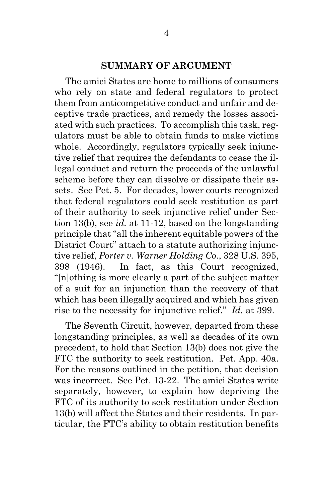#### **SUMMARY OF ARGUMENT**

The amici States are home to millions of consumers who rely on state and federal regulators to protect them from anticompetitive conduct and unfair and deceptive trade practices, and remedy the losses associated with such practices. To accomplish this task, regulators must be able to obtain funds to make victims whole. Accordingly, regulators typically seek injunctive relief that requires the defendants to cease the illegal conduct and return the proceeds of the unlawful scheme before they can dissolve or dissipate their assets. See Pet. 5. For decades, lower courts recognized that federal regulators could seek restitution as part of their authority to seek injunctive relief under Section 13(b), see *id.* at 11-12, based on the longstanding principle that "all the inherent equitable powers of the District Court" attach to a statute authorizing injunctive relief, *Porter v. Warner Holding Co.*, 328 U.S. 395, 398 (1946). In fact, as this Court recognized, "[n]othing is more clearly a part of the subject matter of a suit for an injunction than the recovery of that which has been illegally acquired and which has given rise to the necessity for injunctive relief." *Id.* at 399.

The Seventh Circuit, however, departed from these longstanding principles, as well as decades of its own precedent, to hold that Section 13(b) does not give the FTC the authority to seek restitution. Pet. App. 40a. For the reasons outlined in the petition, that decision was incorrect. See Pet. 13-22. The amici States write separately, however, to explain how depriving the FTC of its authority to seek restitution under Section 13(b) will affect the States and their residents. In particular, the FTC's ability to obtain restitution benefits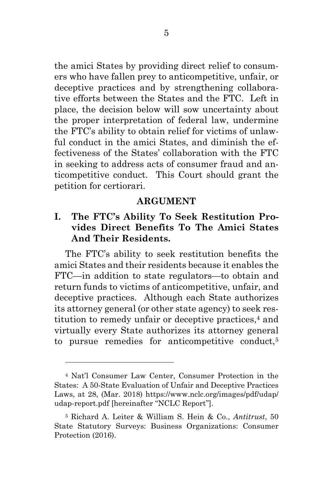the amici States by providing direct relief to consumers who have fallen prey to anticompetitive, unfair, or deceptive practices and by strengthening collaborative efforts between the States and the FTC. Left in place, the decision below will sow uncertainty about the proper interpretation of federal law, undermine the FTC's ability to obtain relief for victims of unlawful conduct in the amici States, and diminish the effectiveness of the States' collaboration with the FTC in seeking to address acts of consumer fraud and anticompetitive conduct. This Court should grant the petition for certiorari.

#### **ARGUMENT**

### **I. The FTC's Ability To Seek Restitution Provides Direct Benefits To The Amici States And Their Residents.**

The FTC's ability to seek restitution benefits the amici States and their residents because it enables the FTC—in addition to state regulators—to obtain and return funds to victims of anticompetitive, unfair, and deceptive practices. Although each State authorizes its attorney general (or other state agency) to seek restitution to remedy unfair or deceptive practices,4 and virtually every State authorizes its attorney general to pursue remedies for anticompetitive conduct,<sup>5</sup>

<sup>4</sup> Nat'l Consumer Law Center, Consumer Protection in the States: A 50-State Evaluation of Unfair and Deceptive Practices Laws, at 28, (Mar. 2018) https://www.nclc.org/images/pdf/udap/ udap-report.pdf [hereinafter "NCLC Report"].

<sup>5</sup> Richard A. Leiter & William S. Hein & Co., *Antitrust*, 50 State Statutory Surveys: Business Organizations: Consumer Protection (2016).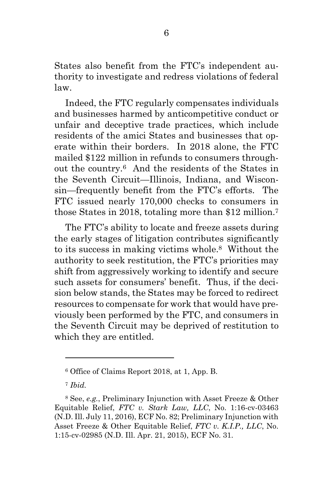States also benefit from the FTC's independent authority to investigate and redress violations of federal law.

Indeed, the FTC regularly compensates individuals and businesses harmed by anticompetitive conduct or unfair and deceptive trade practices, which include residents of the amici States and businesses that operate within their borders. In 2018 alone, the FTC mailed \$122 million in refunds to consumers throughout the country.6 And the residents of the States in the Seventh Circuit—Illinois, Indiana, and Wisconsin—frequently benefit from the FTC's efforts. The FTC issued nearly 170,000 checks to consumers in those States in 2018, totaling more than \$12 million.<sup>7</sup>

The FTC's ability to locate and freeze assets during the early stages of litigation contributes significantly to its success in making victims whole.8 Without the authority to seek restitution, the FTC's priorities may shift from aggressively working to identify and secure such assets for consumers' benefit. Thus, if the decision below stands, the States may be forced to redirect resources to compensate for work that would have previously been performed by the FTC, and consumers in the Seventh Circuit may be deprived of restitution to which they are entitled.

<sup>6</sup> Office of Claims Report 2018, at 1, App. B.

<sup>7</sup> *Ibid.*

<sup>8</sup> See, *e.g.*, Preliminary Injunction with Asset Freeze & Other Equitable Relief, *FTC v. Stark Law, LLC*, No. 1:16-cv-03463 (N.D. Ill. July 11, 2016), ECF No. 82; Preliminary Injunction with Asset Freeze & Other Equitable Relief, *FTC v. K.I.P., LLC*, No. 1:15-cv-02985 (N.D. Ill. Apr. 21, 2015), ECF No. 31.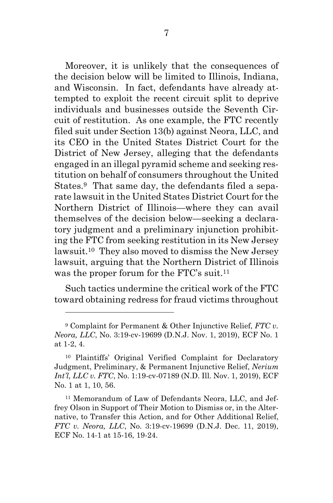Moreover, it is unlikely that the consequences of the decision below will be limited to Illinois, Indiana, and Wisconsin. In fact, defendants have already attempted to exploit the recent circuit split to deprive individuals and businesses outside the Seventh Circuit of restitution. As one example, the FTC recently filed suit under Section 13(b) against Neora, LLC, and its CEO in the United States District Court for the District of New Jersey, alleging that the defendants engaged in an illegal pyramid scheme and seeking restitution on behalf of consumers throughout the United States.9 That same day, the defendants filed a separate lawsuit in the United States District Court for the Northern District of Illinois—where they can avail themselves of the decision below—seeking a declaratory judgment and a preliminary injunction prohibiting the FTC from seeking restitution in its New Jersey lawsuit.10 They also moved to dismiss the New Jersey lawsuit, arguing that the Northern District of Illinois was the proper forum for the FTC's suit.<sup>11</sup>

Such tactics undermine the critical work of the FTC toward obtaining redress for fraud victims throughout

<sup>9</sup> Complaint for Permanent & Other Injunctive Relief, *FTC v. Neora, LLC*, No. 3:19-cv-19699 (D.N.J. Nov. 1, 2019), ECF No. 1 at 1-2, 4.

<sup>10</sup> Plaintiffs' Original Verified Complaint for Declaratory Judgment, Preliminary, & Permanent Injunctive Relief, *Nerium Int'l, LLC v. FTC*, No. 1:19-cv-07189 (N.D. Ill. Nov. 1, 2019), ECF No. 1 at 1, 10, 56.

<sup>11</sup> Memorandum of Law of Defendants Neora, LLC, and Jeffrey Olson in Support of Their Motion to Dismiss or, in the Alternative, to Transfer this Action, and for Other Additional Relief, *FTC v. Neora, LLC*, No. 3:19-cv-19699 (D.N.J. Dec. 11, 2019), ECF No. 14-1 at 15-16, 19-24.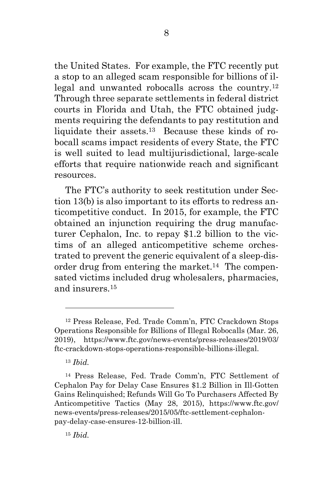the United States. For example, the FTC recently put a stop to an alleged scam responsible for billions of illegal and unwanted robocalls across the country.<sup>12</sup> Through three separate settlements in federal district courts in Florida and Utah, the FTC obtained judgments requiring the defendants to pay restitution and liquidate their assets.13 Because these kinds of robocall scams impact residents of every State, the FTC is well suited to lead multijurisdictional, large-scale efforts that require nationwide reach and significant resources.

The FTC's authority to seek restitution under Section 13(b) is also important to its efforts to redress anticompetitive conduct. In 2015, for example, the FTC obtained an injunction requiring the drug manufacturer Cephalon, Inc. to repay \$1.2 billion to the victims of an alleged anticompetitive scheme orchestrated to prevent the generic equivalent of a sleep-disorder drug from entering the market.<sup>14</sup> The compensated victims included drug wholesalers, pharmacies, and insurers.<sup>15</sup>

<sup>15</sup> *Ibid.* 

<sup>12</sup> Press Release, Fed. Trade Comm'n, FTC Crackdown Stops Operations Responsible for Billions of Illegal Robocalls (Mar. 26, 2019), https://www.ftc.gov/news-events/press-releases/2019/03/ ftc-crackdown-stops-operations-responsible-billions-illegal.

<sup>13</sup> *Ibid.*

<sup>14</sup> Press Release, Fed. Trade Comm'n, FTC Settlement of Cephalon Pay for Delay Case Ensures \$1.2 Billion in Ill-Gotten Gains Relinquished; Refunds Will Go To Purchasers Affected By Anticompetitive Tactics (May 28, 2015), https://www.ftc.gov/ news-events/press-releases/2015/05/ftc-settlement-cephalonpay-delay-case-ensures-12-billion-ill.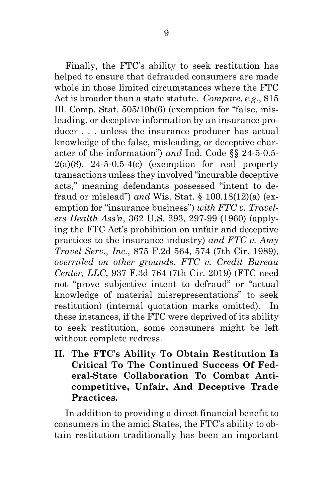Finally, the FTC's ability to seek restitution has helped to ensure that defrauded consumers are made whole in those limited circumstances where the FTC Act is broader than a state statute. *Compare*, *e.g.*, 815 Ill. Comp. Stat. 505/10b(6) (exemption for "false, misleading, or deceptive information by an insurance producer . . . unless the insurance producer has actual knowledge of the false, misleading, or deceptive character of the information") *and* Ind. Code §§ 24-5-0.5-  $2(a)(8)$ ,  $24-5-0.5-4(c)$  (exemption for real property transactions unless they involved "incurable deceptive acts," meaning defendants possessed "intent to defraud or mislead") *and* Wis. Stat. § 100.18(12)(a) (exemption for "insurance business") *with FTC v. Travelers Health Ass'n*, 362 U.S. 293, 297-99 (1960) (applying the FTC Act's prohibition on unfair and deceptive practices to the insurance industry) *and FTC v. Amy Travel Serv., Inc.*, 875 F.2d 564, 574 (7th Cir. 1989), *overruled on other grounds*, *FTC v. Credit Bureau Center, LLC*, 937 F.3d 764 (7th Cir. 2019) (FTC need not "prove subjective intent to defraud" or "actual knowledge of material misrepresentations" to seek restitution) (internal quotation marks omitted). In these instances, if the FTC were deprived of its ability to seek restitution, some consumers might be left without complete redress.

**II. The FTC's Ability To Obtain Restitution Is Critical To The Continued Success Of Federal-State Collaboration To Combat Anticompetitive, Unfair, And Deceptive Trade Practices.** 

In addition to providing a direct financial benefit to consumers in the amici States, the FTC's ability to obtain restitution traditionally has been an important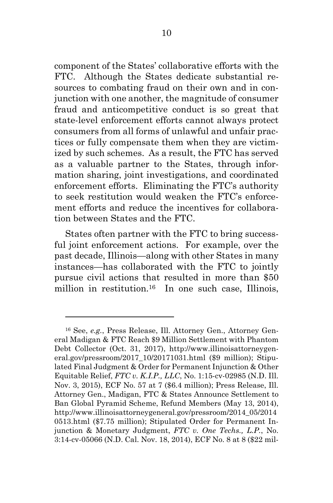component of the States' collaborative efforts with the FTC. Although the States dedicate substantial resources to combating fraud on their own and in conjunction with one another, the magnitude of consumer fraud and anticompetitive conduct is so great that state-level enforcement efforts cannot always protect consumers from all forms of unlawful and unfair practices or fully compensate them when they are victimized by such schemes. As a result, the FTC has served as a valuable partner to the States, through information sharing, joint investigations, and coordinated enforcement efforts. Eliminating the FTC's authority to seek restitution would weaken the FTC's enforcement efforts and reduce the incentives for collaboration between States and the FTC.

States often partner with the FTC to bring successful joint enforcement actions. For example, over the past decade, Illinois—along with other States in many instances—has collaborated with the FTC to jointly pursue civil actions that resulted in more than \$50 million in restitution.<sup>16</sup> In one such case, Illinois,

<sup>16</sup> See, *e.g.*, Press Release, Ill. Attorney Gen., Attorney General Madigan & FTC Reach \$9 Million Settlement with Phantom Debt Collector (Oct. 31, 2017), http://www.illinoisattorneygeneral.gov/pressroom/2017\_10/20171031.html (\$9 million); Stipulated Final Judgment & Order for Permanent Injunction & Other Equitable Relief, *FTC v. K.I.P., LLC*, No. 1:15-cv-02985 (N.D. Ill. Nov. 3, 2015), ECF No. 57 at 7 (\$6.4 million); Press Release, Ill. Attorney Gen., Madigan, FTC & States Announce Settlement to Ban Global Pyramid Scheme, Refund Members (May 13, 2014), http://www.illinoisattorneygeneral.gov/pressroom/2014\_05/2014 0513.html (\$7.75 million); Stipulated Order for Permanent Injunction & Monetary Judgment, *FTC v. One Techs., L.P.*, No. 3:14-cv-05066 (N.D. Cal. Nov. 18, 2014), ECF No. 8 at 8 (\$22 mil-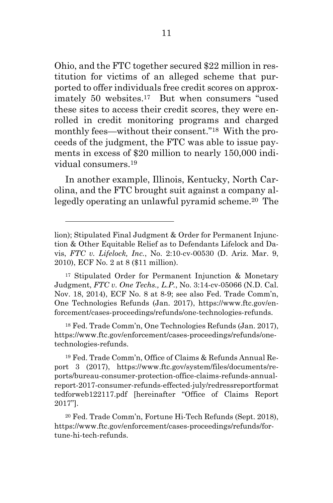Ohio, and the FTC together secured \$22 million in restitution for victims of an alleged scheme that purported to offer individuals free credit scores on approximately 50 websites.17 But when consumers "used these sites to access their credit scores, they were enrolled in credit monitoring programs and charged monthly fees—without their consent."18 With the proceeds of the judgment, the FTC was able to issue payments in excess of \$20 million to nearly 150,000 individual consumers.<sup>19</sup>

In another example, Illinois, Kentucky, North Carolina, and the FTC brought suit against a company allegedly operating an unlawful pyramid scheme.20 The

<sup>18</sup> Fed. Trade Comm'n, One Technologies Refunds (Jan. 2017), https://www.ftc.gov/enforcement/cases-proceedings/refunds/onetechnologies-refunds.

19 Fed. Trade Comm'n, Office of Claims & Refunds Annual Report 3 (2017), https://www.ftc.gov/system/files/documents/reports/bureau-consumer-protection-office-claims-refunds-annualreport-2017-consumer-refunds-effected-july/redressreportformat tedforweb122117.pdf [hereinafter "Office of Claims Report 2017"].

<sup>20</sup> Fed. Trade Comm'n, Fortune Hi-Tech Refunds (Sept. 2018), https://www.ftc.gov/enforcement/cases-proceedings/refunds/fortune-hi-tech-refunds.

lion); Stipulated Final Judgment & Order for Permanent Injunction & Other Equitable Relief as to Defendants Lifelock and Davis, *FTC v. Lifelock, Inc.*, No. 2:10-cv-00530 (D. Ariz. Mar. 9, 2010), ECF No. 2 at 8 (\$11 million).

<sup>17</sup> Stipulated Order for Permanent Injunction & Monetary Judgment, *FTC v. One Techs., L.P.*, No. 3:14-cv-05066 (N.D. Cal. Nov. 18, 2014), ECF No. 8 at 8-9; see also Fed. Trade Comm'n, One Technologies Refunds (Jan. 2017), https://www.ftc.gov/enforcement/cases-proceedings/refunds/one-technologies-refunds.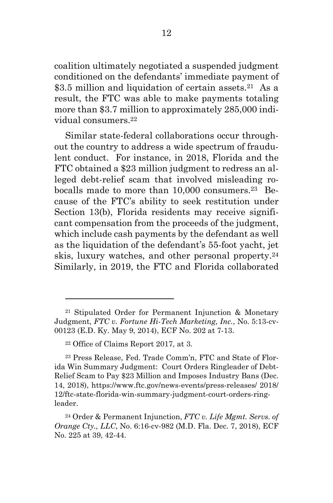coalition ultimately negotiated a suspended judgment conditioned on the defendants' immediate payment of \$3.5 million and liquidation of certain assets.<sup>21</sup> As a result, the FTC was able to make payments totaling more than \$3.7 million to approximately 285,000 individual consumers.<sup>22</sup>

Similar state-federal collaborations occur throughout the country to address a wide spectrum of fraudulent conduct. For instance, in 2018, Florida and the FTC obtained a \$23 million judgment to redress an alleged debt-relief scam that involved misleading robocalls made to more than 10,000 consumers.23 Because of the FTC's ability to seek restitution under Section 13(b), Florida residents may receive significant compensation from the proceeds of the judgment, which include cash payments by the defendant as well as the liquidation of the defendant's 55-foot yacht, jet skis, luxury watches, and other personal property.<sup>24</sup> Similarly, in 2019, the FTC and Florida collaborated

<sup>21</sup> Stipulated Order for Permanent Injunction & Monetary Judgment, *FTC v. Fortune Hi-Tech Marketing, Inc.*, No. 5:13-cv-00123 (E.D. Ky. May 9, 2014), ECF No. 202 at 7-13.

<sup>22</sup> Office of Claims Report 2017, at 3.

<sup>23</sup> Press Release, Fed. Trade Comm'n, FTC and State of Florida Win Summary Judgment: Court Orders Ringleader of Debt-Relief Scam to Pay \$23 Million and Imposes Industry Bans (Dec. 14, 2018), https://www.ftc.gov/news-events/press-releases/ 2018/ 12/ftc-state-florida-win-summary-judgment-court-orders-ringleader.

<sup>24</sup> Order & Permanent Injunction, *FTC v. Life Mgmt. Servs. of Orange Cty., LLC*, No. 6:16-cv-982 (M.D. Fla. Dec. 7, 2018), ECF No. 225 at 39, 42-44.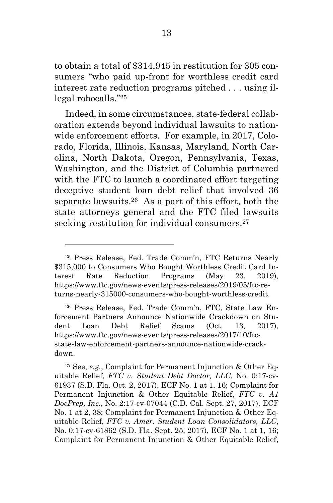to obtain a total of \$314,945 in restitution for 305 consumers "who paid up-front for worthless credit card interest rate reduction programs pitched . . . using illegal robocalls."<sup>25</sup>

Indeed, in some circumstances, state-federal collaboration extends beyond individual lawsuits to nationwide enforcement efforts. For example, in 2017, Colorado, Florida, Illinois, Kansas, Maryland, North Carolina, North Dakota, Oregon, Pennsylvania, Texas, Washington, and the District of Columbia partnered with the FTC to launch a coordinated effort targeting deceptive student loan debt relief that involved 36 separate lawsuits.26 As a part of this effort, both the state attorneys general and the FTC filed lawsuits seeking restitution for individual consumers.<sup>27</sup>

<sup>25</sup> Press Release, Fed. Trade Comm'n, FTC Returns Nearly \$315,000 to Consumers Who Bought Worthless Credit Card Interest Rate Reduction Programs (May 23, 2019), https://www.ftc.gov/news-events/press-releases/2019/05/ftc-returns-nearly-315000-consumers-who-bought-worthless-credit.

<sup>26</sup> Press Release, Fed. Trade Comm'n, FTC, State Law Enforcement Partners Announce Nationwide Crackdown on Student Loan Debt Relief Scams (Oct. 13, 2017), https://www.ftc.gov/news-events/press-releases/2017/10/ftcstate-law-enforcement-partners-announce-nationwide-crackdown.

<sup>27</sup> See, *e.g.*, Complaint for Permanent Injunction & Other Equitable Relief, *FTC v. Student Debt Doctor, LLC*, No. 0:17-cv-61937 (S.D. Fla. Oct. 2, 2017), ECF No. 1 at 1, 16; Complaint for Permanent Injunction & Other Equitable Relief, *FTC v. A1 DocPrep, Inc.*, No. 2:17-cv-07044 (C.D. Cal. Sept. 27, 2017), ECF No. 1 at 2, 38; Complaint for Permanent Injunction & Other Equitable Relief, *FTC v. Amer. Student Loan Consolidators, LLC*, No. 0:17-cv-61862 (S.D. Fla. Sept. 25, 2017), ECF No. 1 at 1, 16; Complaint for Permanent Injunction & Other Equitable Relief,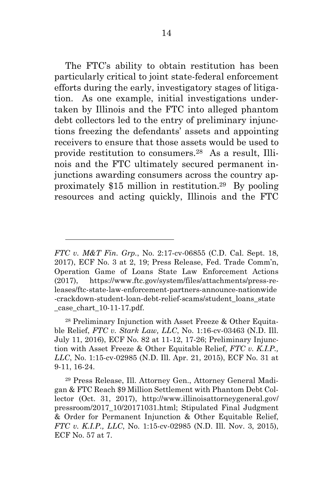The FTC's ability to obtain restitution has been particularly critical to joint state-federal enforcement efforts during the early, investigatory stages of litigation. As one example, initial investigations undertaken by Illinois and the FTC into alleged phantom debt collectors led to the entry of preliminary injunctions freezing the defendants' assets and appointing receivers to ensure that those assets would be used to provide restitution to consumers.28 As a result, Illinois and the FTC ultimately secured permanent injunctions awarding consumers across the country approximately \$15 million in restitution.29 By pooling resources and acting quickly, Illinois and the FTC

28 Preliminary Injunction with Asset Freeze & Other Equitable Relief, *FTC v. Stark Law, LLC*, No. 1:16-cv-03463 (N.D. Ill. July 11, 2016), ECF No. 82 at 11-12, 17-26; Preliminary Injunction with Asset Freeze & Other Equitable Relief, *FTC v. K.I.P., LLC*, No. 1:15-cv-02985 (N.D. Ill. Apr. 21, 2015), ECF No. 31 at 9-11, 16-24.

*FTC v. M&T Fin. Grp.*, No. 2:17-cv-06855 (C.D. Cal. Sept. 18, 2017), ECF No. 3 at 2, 19; Press Release, Fed. Trade Comm'n, Operation Game of Loans State Law Enforcement Actions (2017), https://www.ftc.gov/system/files/attachments/press-releases/ftc-state-law-enforcement-partners-announce-nationwide -crackdown-student-loan-debt-relief-scams/student\_loans\_state  $\_\_\_\_\_\_\_\$  case $\_\_\_\_\_\_\_\_\_10-11-17.$  pdf.

<sup>29</sup> Press Release, Ill. Attorney Gen., Attorney General Madigan & FTC Reach \$9 Million Settlement with Phantom Debt Collector (Oct. 31, 2017), http://www.illinoisattorneygeneral.gov/ pressroom/2017\_10/20171031.html; Stipulated Final Judgment & Order for Permanent Injunction & Other Equitable Relief, *FTC v. K.I.P., LLC*, No. 1:15-cv-02985 (N.D. Ill. Nov. 3, 2015), ECF No. 57 at 7.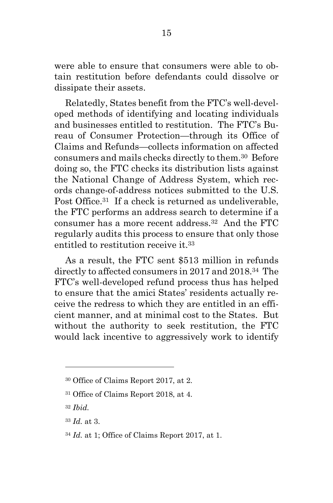were able to ensure that consumers were able to obtain restitution before defendants could dissolve or dissipate their assets.

Relatedly, States benefit from the FTC's well-developed methods of identifying and locating individuals and businesses entitled to restitution. The FTC's Bureau of Consumer Protection—through its Office of Claims and Refunds—collects information on affected consumers and mails checks directly to them.30 Before doing so, the FTC checks its distribution lists against the National Change of Address System, which records change-of-address notices submitted to the U.S. Post Office.<sup>31</sup> If a check is returned as undeliverable, the FTC performs an address search to determine if a consumer has a more recent address.32 And the FTC regularly audits this process to ensure that only those entitled to restitution receive it.<sup>33</sup>

As a result, the FTC sent \$513 million in refunds directly to affected consumers in 2017 and 2018.34 The FTC's well-developed refund process thus has helped to ensure that the amici States' residents actually receive the redress to which they are entitled in an efficient manner, and at minimal cost to the States. But without the authority to seek restitution, the FTC would lack incentive to aggressively work to identify

<sup>30</sup> Office of Claims Report 2017, at 2.

<sup>31</sup> Office of Claims Report 2018, at 4.

<sup>32</sup> *Ibid.*

<sup>33</sup> *Id.* at 3.

<sup>34</sup> *Id.* at 1; Office of Claims Report 2017, at 1.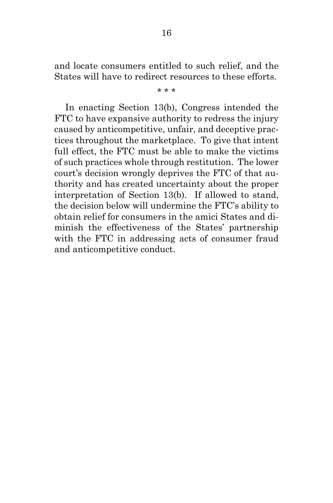and locate consumers entitled to such relief, and the States will have to redirect resources to these efforts.

\* \* \*

In enacting Section 13(b), Congress intended the FTC to have expansive authority to redress the injury caused by anticompetitive, unfair, and deceptive practices throughout the marketplace. To give that intent full effect, the FTC must be able to make the victims of such practices whole through restitution. The lower court's decision wrongly deprives the FTC of that authority and has created uncertainty about the proper interpretation of Section 13(b). If allowed to stand, the decision below will undermine the FTC's ability to obtain relief for consumers in the amici States and diminish the effectiveness of the States' partnership with the FTC in addressing acts of consumer fraud and anticompetitive conduct.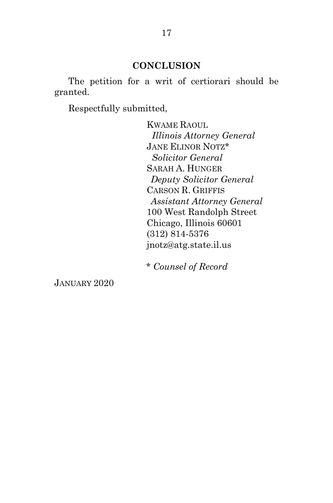### **CONCLUSION**

 The petition for a writ of certiorari should be granted.

Respectfully submitted,

KWAME RAOUL *Illinois Attorney General*  JANE ELINOR NOTZ\*  *Solicitor General*  SARAH A. HUNGER *Deputy Solicitor General*  CARSON R. GRIFFIS *Assistant Attorney General* 100 West Randolph Street Chicago, Illinois 60601 (312) 814-5376 jnotz@atg.state.il.us

\* *Counsel of Record*

JANUARY 2020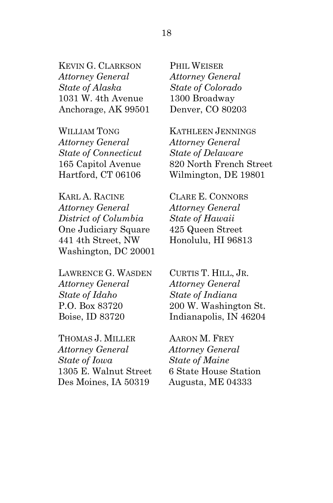KEVIN G. CLARKSON *Attorney General State of Alaska*  1031 W. 4th Avenue Anchorage, AK 99501

WILLIAM TONG *Attorney General State of Connecticut*  165 Capitol Avenue Hartford, CT 06106

KARL A. RACINE *Attorney General District of Columbia*  One Judiciary Square 441 4th Street, NW Washington, DC 20001

LAWRENCE G. WASDEN *Attorney General State of Idaho*  P.O. Box 83720 Boise, ID 83720

THOMAS J. MILLER *Attorney General State of Iowa*  1305 E. Walnut Street Des Moines, IA 50319

PHIL WEISER *Attorney General State of Colorado*  1300 Broadway Denver, CO 80203

KATHLEEN JENNINGS *Attorney General State of Delaware*  820 North French Street Wilmington, DE 19801

CLARE E. CONNORS *Attorney General State of Hawaii*  425 Queen Street Honolulu, HI 96813

CURTIS T. HILL, JR. *Attorney General State of Indiana*  200 W. Washington St. Indianapolis, IN 46204

AARON M. FREY *Attorney General State of Maine*  6 State House Station Augusta, ME 04333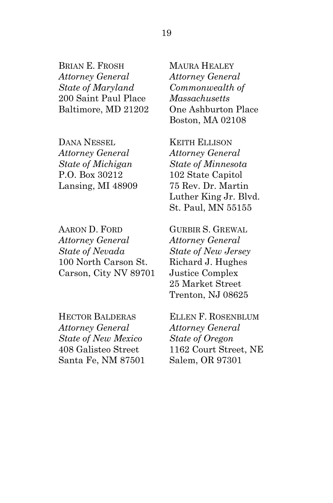BRIAN E. FROSH *Attorney General State of Maryland*  200 Saint Paul Place Baltimore, MD 21202

DANA NESSEL *Attorney General State of Michigan*  P.O. Box 30212 Lansing, MI 48909

AARON D. FORD *Attorney General State of Nevada*  100 North Carson St. Carson, City NV 89701

HECTOR BALDERAS *Attorney General State of New Mexico*  408 Galisteo Street Santa Fe, NM 87501 MAURA HEALEY *Attorney General Commonwealth of Massachusetts*  One Ashburton Place Boston, MA 02108

KEITH ELLISON *Attorney General State of Minnesota*  102 State Capitol 75 Rev. Dr. Martin Luther King Jr. Blvd. St. Paul, MN 55155

GURBIR S. GREWAL *Attorney General State of New Jersey*  Richard J. Hughes Justice Complex 25 Market Street Trenton, NJ 08625

ELLEN F. ROSENBLUM *Attorney General State of Oregon*  1162 Court Street, NE Salem, OR 97301